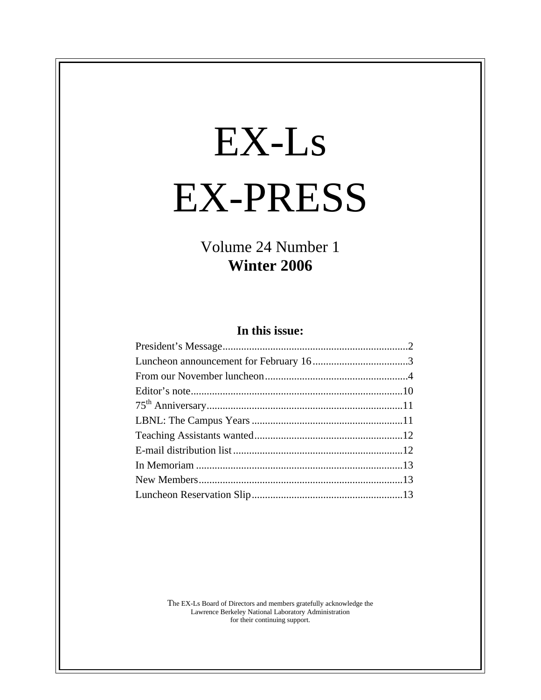# EX-Ls EX-PRESS

Volume 24 Number 1 **Winter 2006**

## **In this issue:**

The EX-Ls Board of Directors and members gratefully acknowledge the Lawrence Berkeley National Laboratory Administration for their continuing support.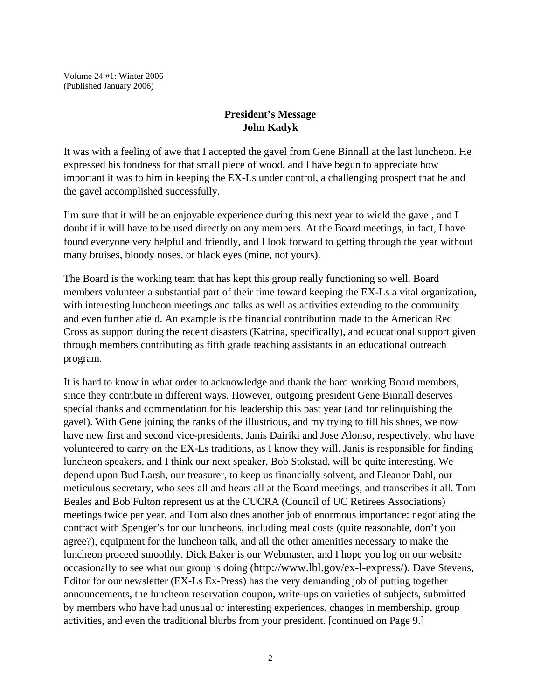Volume 24 #1: Winter 2006 (Published January 2006)

## **President's Message John Kadyk**

It was with a feeling of awe that I accepted the gavel from Gene Binnall at the last luncheon. He expressed his fondness for that small piece of wood, and I have begun to appreciate how important it was to him in keeping the EX-Ls under control, a challenging prospect that he and the gavel accomplished successfully.

I'm sure that it will be an enjoyable experience during this next year to wield the gavel, and I doubt if it will have to be used directly on any members. At the Board meetings, in fact, I have found everyone very helpful and friendly, and I look forward to getting through the year without many bruises, bloody noses, or black eyes (mine, not yours).

The Board is the working team that has kept this group really functioning so well. Board members volunteer a substantial part of their time toward keeping the EX-Ls a vital organization, with interesting luncheon meetings and talks as well as activities extending to the community and even further afield. An example is the financial contribution made to the American Red Cross as support during the recent disasters (Katrina, specifically), and educational support given through members contributing as fifth grade teaching assistants in an educational outreach program.

It is hard to know in what order to acknowledge and thank the hard working Board members, since they contribute in different ways. However, outgoing president Gene Binnall deserves special thanks and commendation for his leadership this past year (and for relinquishing the gavel). With Gene joining the ranks of the illustrious, and my trying to fill his shoes, we now have new first and second vice-presidents, Janis Dairiki and Jose Alonso, respectively, who have volunteered to carry on the EX-Ls traditions, as I know they will. Janis is responsible for finding luncheon speakers, and I think our next speaker, Bob Stokstad, will be quite interesting. We depend upon Bud Larsh, our treasurer, to keep us financially solvent, and Eleanor Dahl, our meticulous secretary, who sees all and hears all at the Board meetings, and transcribes it all. Tom Beales and Bob Fulton represent us at the CUCRA (Council of UC Retirees Associations) meetings twice per year, and Tom also does another job of enormous importance: negotiating the contract with Spenger's for our luncheons, including meal costs (quite reasonable, don't you agree?), equipment for the luncheon talk, and all the other amenities necessary to make the luncheon proceed smoothly. Dick Baker is our Webmaster, and I hope you log on our website occasionally to see what our group is doing (http://www.lbl.gov/ex-l-express/). Dave Stevens, Editor for our newsletter (EX-Ls Ex-Press) has the very demanding job of putting together announcements, the luncheon reservation coupon, write-ups on varieties of subjects, submitted by members who have had unusual or interesting experiences, changes in membership, group activities, and even the traditional blurbs from your president. [continued on Page 9.]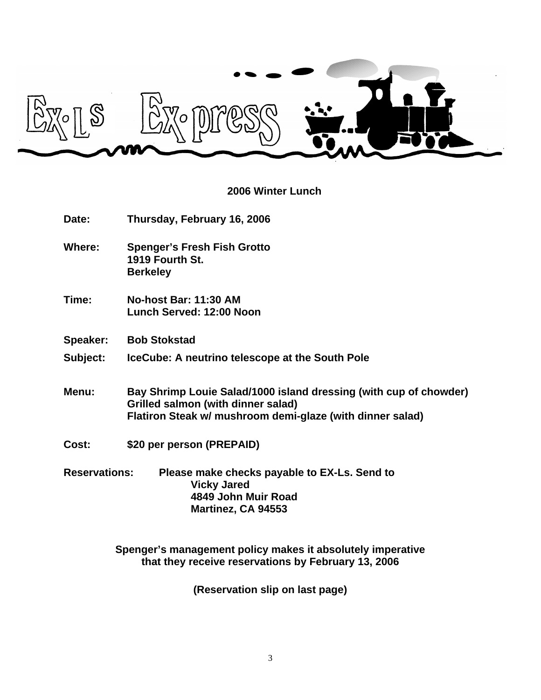

# **2006 Winter Lunch**

| Date:                | Thursday, February 16, 2006                                                                                                                                          |  |
|----------------------|----------------------------------------------------------------------------------------------------------------------------------------------------------------------|--|
| Where:               | <b>Spenger's Fresh Fish Grotto</b><br>1919 Fourth St.<br><b>Berkeley</b>                                                                                             |  |
| Time:                | No-host Bar: 11:30 AM<br>Lunch Served: 12:00 Noon                                                                                                                    |  |
| Speaker:             | <b>Bob Stokstad</b>                                                                                                                                                  |  |
| Subject:             | IceCube: A neutrino telescope at the South Pole                                                                                                                      |  |
| Menu:                | Bay Shrimp Louie Salad/1000 island dressing (with cup of chowder)<br>Grilled salmon (with dinner salad)<br>Flatiron Steak w/ mushroom demi-glaze (with dinner salad) |  |
| Cost:                | \$20 per person (PREPAID)                                                                                                                                            |  |
| <b>Reservations:</b> | Please make checks payable to EX-Ls. Send to<br><b>Vicky Jared</b><br>4849 John Muir Road<br>Martinez, CA 94553                                                      |  |

**Spenger's management policy makes it absolutely imperative that they receive reservations by February 13, 2006**

**(Reservation slip on last page)**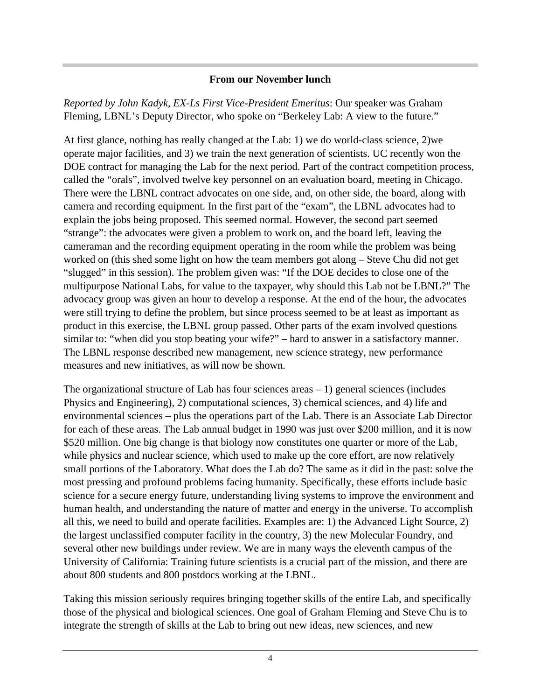## **From our November lunch**

*Reported by John Kadyk, EX-Ls First Vice-President Emeritus*: Our speaker was Graham Fleming, LBNL's Deputy Director, who spoke on "Berkeley Lab: A view to the future."

At first glance, nothing has really changed at the Lab: 1) we do world-class science, 2)we operate major facilities, and 3) we train the next generation of scientists. UC recently won the DOE contract for managing the Lab for the next period. Part of the contract competition process, called the "orals", involved twelve key personnel on an evaluation board, meeting in Chicago. There were the LBNL contract advocates on one side, and, on other side, the board, along with camera and recording equipment. In the first part of the "exam", the LBNL advocates had to explain the jobs being proposed. This seemed normal. However, the second part seemed "strange": the advocates were given a problem to work on, and the board left, leaving the cameraman and the recording equipment operating in the room while the problem was being worked on (this shed some light on how the team members got along – Steve Chu did not get "slugged" in this session). The problem given was: "If the DOE decides to close one of the multipurpose National Labs, for value to the taxpayer, why should this Lab not be LBNL?" The advocacy group was given an hour to develop a response. At the end of the hour, the advocates were still trying to define the problem, but since process seemed to be at least as important as product in this exercise, the LBNL group passed. Other parts of the exam involved questions similar to: "when did you stop beating your wife?" – hard to answer in a satisfactory manner. The LBNL response described new management, new science strategy, new performance measures and new initiatives, as will now be shown.

The organizational structure of Lab has four sciences areas – 1) general sciences (includes Physics and Engineering), 2) computational sciences, 3) chemical sciences, and 4) life and environmental sciences – plus the operations part of the Lab. There is an Associate Lab Director for each of these areas. The Lab annual budget in 1990 was just over \$200 million, and it is now \$520 million. One big change is that biology now constitutes one quarter or more of the Lab, while physics and nuclear science, which used to make up the core effort, are now relatively small portions of the Laboratory. What does the Lab do? The same as it did in the past: solve the most pressing and profound problems facing humanity. Specifically, these efforts include basic science for a secure energy future, understanding living systems to improve the environment and human health, and understanding the nature of matter and energy in the universe. To accomplish all this, we need to build and operate facilities. Examples are: 1) the Advanced Light Source, 2) the largest unclassified computer facility in the country, 3) the new Molecular Foundry, and several other new buildings under review. We are in many ways the eleventh campus of the University of California: Training future scientists is a crucial part of the mission, and there are about 800 students and 800 postdocs working at the LBNL.

Taking this mission seriously requires bringing together skills of the entire Lab, and specifically those of the physical and biological sciences. One goal of Graham Fleming and Steve Chu is to integrate the strength of skills at the Lab to bring out new ideas, new sciences, and new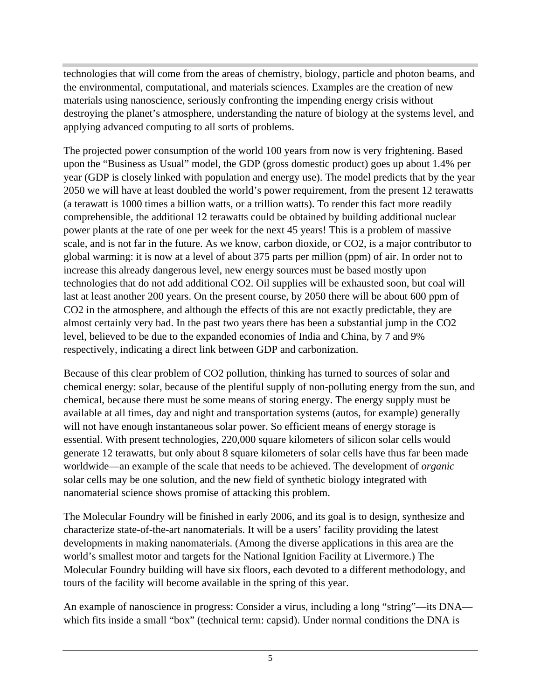technologies that will come from the areas of chemistry, biology, particle and photon beams, and the environmental, computational, and materials sciences. Examples are the creation of new materials using nanoscience, seriously confronting the impending energy crisis without destroying the planet's atmosphere, understanding the nature of biology at the systems level, and applying advanced computing to all sorts of problems.

The projected power consumption of the world 100 years from now is very frightening. Based upon the "Business as Usual" model, the GDP (gross domestic product) goes up about 1.4% per year (GDP is closely linked with population and energy use). The model predicts that by the year 2050 we will have at least doubled the world's power requirement, from the present 12 terawatts (a terawatt is 1000 times a billion watts, or a trillion watts). To render this fact more readily comprehensible, the additional 12 terawatts could be obtained by building additional nuclear power plants at the rate of one per week for the next 45 years! This is a problem of massive scale, and is not far in the future. As we know, carbon dioxide, or CO2, is a major contributor to global warming: it is now at a level of about 375 parts per million (ppm) of air. In order not to increase this already dangerous level, new energy sources must be based mostly upon technologies that do not add additional CO2. Oil supplies will be exhausted soon, but coal will last at least another 200 years. On the present course, by 2050 there will be about 600 ppm of CO2 in the atmosphere, and although the effects of this are not exactly predictable, they are almost certainly very bad. In the past two years there has been a substantial jump in the CO2 level, believed to be due to the expanded economies of India and China, by 7 and 9% respectively, indicating a direct link between GDP and carbonization.

Because of this clear problem of CO2 pollution, thinking has turned to sources of solar and chemical energy: solar, because of the plentiful supply of non-polluting energy from the sun, and chemical, because there must be some means of storing energy. The energy supply must be available at all times, day and night and transportation systems (autos, for example) generally will not have enough instantaneous solar power. So efficient means of energy storage is essential. With present technologies, 220,000 square kilometers of silicon solar cells would generate 12 terawatts, but only about 8 square kilometers of solar cells have thus far been made worldwide—an example of the scale that needs to be achieved. The development of *organic* solar cells may be one solution, and the new field of synthetic biology integrated with nanomaterial science shows promise of attacking this problem.

The Molecular Foundry will be finished in early 2006, and its goal is to design, synthesize and characterize state-of-the-art nanomaterials. It will be a users' facility providing the latest developments in making nanomaterials. (Among the diverse applications in this area are the world's smallest motor and targets for the National Ignition Facility at Livermore.) The Molecular Foundry building will have six floors, each devoted to a different methodology, and tours of the facility will become available in the spring of this year.

An example of nanoscience in progress: Consider a virus, including a long "string"—its DNA which fits inside a small "box" (technical term: capsid). Under normal conditions the DNA is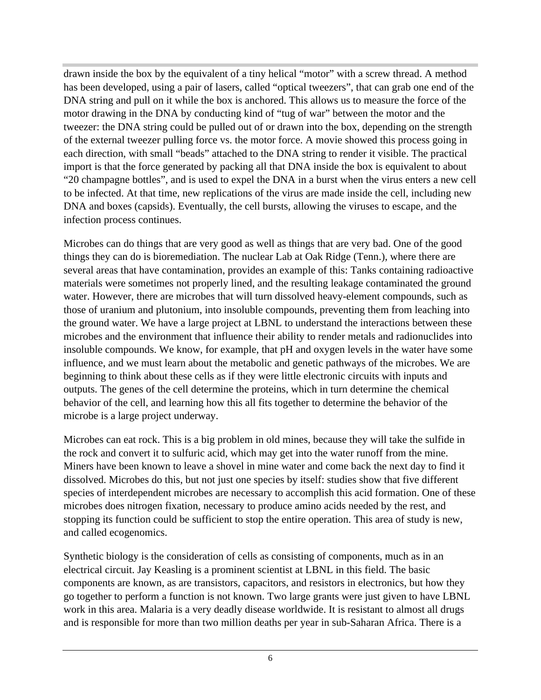drawn inside the box by the equivalent of a tiny helical "motor" with a screw thread. A method has been developed, using a pair of lasers, called "optical tweezers", that can grab one end of the DNA string and pull on it while the box is anchored. This allows us to measure the force of the motor drawing in the DNA by conducting kind of "tug of war" between the motor and the tweezer: the DNA string could be pulled out of or drawn into the box, depending on the strength of the external tweezer pulling force vs. the motor force. A movie showed this process going in each direction, with small "beads" attached to the DNA string to render it visible. The practical import is that the force generated by packing all that DNA inside the box is equivalent to about "20 champagne bottles", and is used to expel the DNA in a burst when the virus enters a new cell to be infected. At that time, new replications of the virus are made inside the cell, including new DNA and boxes (capsids). Eventually, the cell bursts, allowing the viruses to escape, and the infection process continues.

Microbes can do things that are very good as well as things that are very bad. One of the good things they can do is bioremediation. The nuclear Lab at Oak Ridge (Tenn.), where there are several areas that have contamination, provides an example of this: Tanks containing radioactive materials were sometimes not properly lined, and the resulting leakage contaminated the ground water. However, there are microbes that will turn dissolved heavy-element compounds, such as those of uranium and plutonium, into insoluble compounds, preventing them from leaching into the ground water. We have a large project at LBNL to understand the interactions between these microbes and the environment that influence their ability to render metals and radionuclides into insoluble compounds. We know, for example, that pH and oxygen levels in the water have some influence, and we must learn about the metabolic and genetic pathways of the microbes. We are beginning to think about these cells as if they were little electronic circuits with inputs and outputs. The genes of the cell determine the proteins, which in turn determine the chemical behavior of the cell, and learning how this all fits together to determine the behavior of the microbe is a large project underway.

Microbes can eat rock. This is a big problem in old mines, because they will take the sulfide in the rock and convert it to sulfuric acid, which may get into the water runoff from the mine. Miners have been known to leave a shovel in mine water and come back the next day to find it dissolved. Microbes do this, but not just one species by itself: studies show that five different species of interdependent microbes are necessary to accomplish this acid formation. One of these microbes does nitrogen fixation, necessary to produce amino acids needed by the rest, and stopping its function could be sufficient to stop the entire operation. This area of study is new, and called ecogenomics.

Synthetic biology is the consideration of cells as consisting of components, much as in an electrical circuit. Jay Keasling is a prominent scientist at LBNL in this field. The basic components are known, as are transistors, capacitors, and resistors in electronics, but how they go together to perform a function is not known. Two large grants were just given to have LBNL work in this area. Malaria is a very deadly disease worldwide. It is resistant to almost all drugs and is responsible for more than two million deaths per year in sub-Saharan Africa. There is a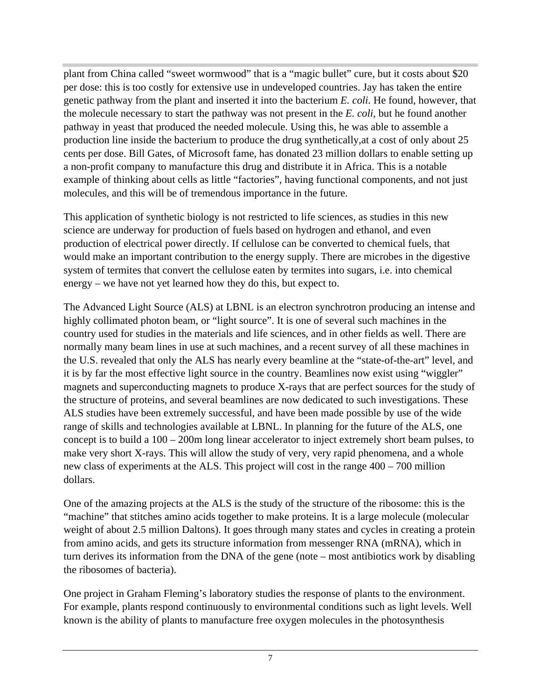plant from China called "sweet wormwood" that is a "magic bullet" cure, but it costs about \$20 per dose: this is too costly for extensive use in undeveloped countries. Jay has taken the entire genetic pathway from the plant and inserted it into the bacterium *E. coli.* He found, however, that the molecule necessary to start the pathway was not present in the *E. coli,* but he found another pathway in yeast that produced the needed molecule. Using this, he was able to assemble a production line inside the bacterium to produce the drug synthetically,at a cost of only about 25 cents per dose. Bill Gates, of Microsoft fame, has donated 23 million dollars to enable setting up a non-profit company to manufacture this drug and distribute it in Africa. This is a notable example of thinking about cells as little "factories", having functional components, and not just molecules, and this will be of tremendous importance in the future.

This application of synthetic biology is not restricted to life sciences, as studies in this new science are underway for production of fuels based on hydrogen and ethanol, and even production of electrical power directly. If cellulose can be converted to chemical fuels, that would make an important contribution to the energy supply. There are microbes in the digestive system of termites that convert the cellulose eaten by termites into sugars, i.e. into chemical energy – we have not yet learned how they do this, but expect to.

The Advanced Light Source (ALS) at LBNL is an electron synchrotron producing an intense and highly collimated photon beam, or "light source". It is one of several such machines in the country used for studies in the materials and life sciences, and in other fields as well. There are normally many beam lines in use at such machines, and a recent survey of all these machines in the U.S. revealed that only the ALS has nearly every beamline at the "state-of-the-art" level, and it is by far the most effective light source in the country. Beamlines now exist using "wiggler" magnets and superconducting magnets to produce X-rays that are perfect sources for the study of the structure of proteins, and several beamlines are now dedicated to such investigations. These ALS studies have been extremely successful, and have been made possible by use of the wide range of skills and technologies available at LBNL. In planning for the future of the ALS, one concept is to build a 100 – 200m long linear accelerator to inject extremely short beam pulses, to make very short X-rays. This will allow the study of very, very rapid phenomena, and a whole new class of experiments at the ALS. This project will cost in the range 400 – 700 million dollars.

One of the amazing projects at the ALS is the study of the structure of the ribosome: this is the "machine" that stitches amino acids together to make proteins. It is a large molecule (molecular weight of about 2.5 million Daltons). It goes through many states and cycles in creating a protein from amino acids, and gets its structure information from messenger RNA (mRNA), which in turn derives its information from the DNA of the gene (note – most antibiotics work by disabling the ribosomes of bacteria).

One project in Graham Fleming's laboratory studies the response of plants to the environment. For example, plants respond continuously to environmental conditions such as light levels. Well known is the ability of plants to manufacture free oxygen molecules in the photosynthesis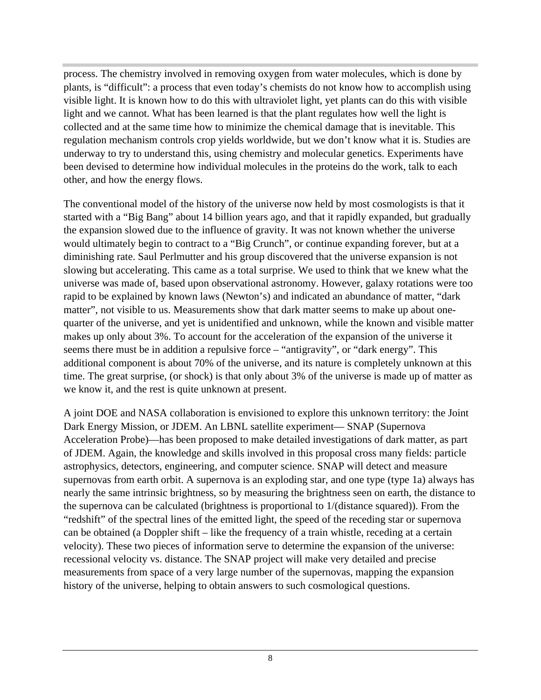process. The chemistry involved in removing oxygen from water molecules, which is done by plants, is "difficult": a process that even today's chemists do not know how to accomplish using visible light. It is known how to do this with ultraviolet light, yet plants can do this with visible light and we cannot. What has been learned is that the plant regulates how well the light is collected and at the same time how to minimize the chemical damage that is inevitable. This regulation mechanism controls crop yields worldwide, but we don't know what it is. Studies are underway to try to understand this, using chemistry and molecular genetics. Experiments have been devised to determine how individual molecules in the proteins do the work, talk to each other, and how the energy flows.

The conventional model of the history of the universe now held by most cosmologists is that it started with a "Big Bang" about 14 billion years ago, and that it rapidly expanded, but gradually the expansion slowed due to the influence of gravity. It was not known whether the universe would ultimately begin to contract to a "Big Crunch", or continue expanding forever, but at a diminishing rate. Saul Perlmutter and his group discovered that the universe expansion is not slowing but accelerating. This came as a total surprise. We used to think that we knew what the universe was made of, based upon observational astronomy. However, galaxy rotations were too rapid to be explained by known laws (Newton's) and indicated an abundance of matter, "dark matter", not visible to us. Measurements show that dark matter seems to make up about onequarter of the universe, and yet is unidentified and unknown, while the known and visible matter makes up only about 3%. To account for the acceleration of the expansion of the universe it seems there must be in addition a repulsive force – "antigravity", or "dark energy". This additional component is about 70% of the universe, and its nature is completely unknown at this time. The great surprise, (or shock) is that only about 3% of the universe is made up of matter as we know it, and the rest is quite unknown at present.

A joint DOE and NASA collaboration is envisioned to explore this unknown territory: the Joint Dark Energy Mission, or JDEM. An LBNL satellite experiment— SNAP (Supernova Acceleration Probe)—has been proposed to make detailed investigations of dark matter, as part of JDEM. Again, the knowledge and skills involved in this proposal cross many fields: particle astrophysics, detectors, engineering, and computer science. SNAP will detect and measure supernovas from earth orbit. A supernova is an exploding star, and one type (type 1a) always has nearly the same intrinsic brightness, so by measuring the brightness seen on earth, the distance to the supernova can be calculated (brightness is proportional to 1/(distance squared)). From the "redshift" of the spectral lines of the emitted light, the speed of the receding star or supernova can be obtained (a Doppler shift – like the frequency of a train whistle, receding at a certain velocity). These two pieces of information serve to determine the expansion of the universe: recessional velocity vs. distance. The SNAP project will make very detailed and precise measurements from space of a very large number of the supernovas, mapping the expansion history of the universe, helping to obtain answers to such cosmological questions.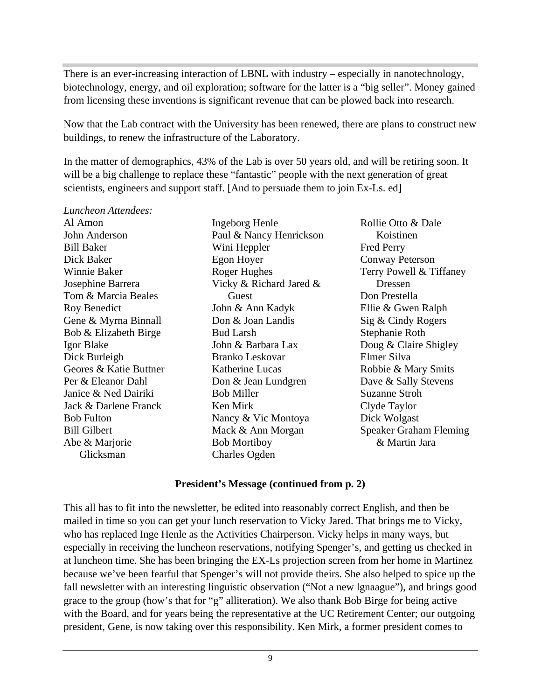There is an ever-increasing interaction of LBNL with industry – especially in nanotechnology, biotechnology, energy, and oil exploration; software for the latter is a "big seller". Money gained from licensing these inventions is significant revenue that can be plowed back into research.

Now that the Lab contract with the University has been renewed, there are plans to construct new buildings, to renew the infrastructure of the Laboratory.

In the matter of demographics, 43% of the Lab is over 50 years old, and will be retiring soon. It will be a big challenge to replace these "fantastic" people with the next generation of great scientists, engineers and support staff. [And to persuade them to join Ex-Ls. ed]

*Luncheon Attendees:*

Al Amon John Anderson Bill Baker Dick Baker Winnie Baker Josephine Barrera Tom & Marcia Beales Roy Benedict Gene & Myrna Binnall Bob & Elizabeth Birge Igor Blake Dick Burleigh Geores & Katie Buttner Per & Eleanor Dahl Janice & Ned Dairiki Jack & Darlene Franck Bob Fulton Bill Gilbert Abe & Marjorie Glicksman

Ingeborg Henle Paul & Nancy Henrickson Wini Heppler Egon Hoyer Roger Hughes Vicky & Richard Jared & Guest John & Ann Kadyk Don & Joan Landis Bud Larsh John & Barbara Lax Branko Leskovar Katherine Lucas Don & Jean Lundgren Bob Miller Ken Mirk Nancy & Vic Montoya Mack & Ann Morgan Bob Mortiboy Charles Ogden

Rollie Otto & Dale Koistinen Fred Perry Conway Peterson Terry Powell & Tiffaney Dressen Don Prestella Ellie & Gwen Ralph Sig & Cindy Rogers Stephanie Roth Doug & Claire Shigley Elmer Silva Robbie & Mary Smits Dave & Sally Stevens Suzanne Stroh Clyde Taylor Dick Wolgast Speaker Graham Fleming & Martin Jara

#### **President's Message (continued from p. 2)**

This all has to fit into the newsletter, be edited into reasonably correct English, and then be mailed in time so you can get your lunch reservation to Vicky Jared. That brings me to Vicky, who has replaced Inge Henle as the Activities Chairperson. Vicky helps in many ways, but especially in receiving the luncheon reservations, notifying Spenger's, and getting us checked in at luncheon time. She has been bringing the EX-Ls projection screen from her home in Martinez because we've been fearful that Spenger's will not provide theirs. She also helped to spice up the fall newsletter with an interesting linguistic observation ("Not a new lgnaague"), and brings good grace to the group (how's that for "g" alliteration). We also thank Bob Birge for being active with the Board, and for years being the representative at the UC Retirement Center; our outgoing president, Gene, is now taking over this responsibility. Ken Mirk, a former president comes to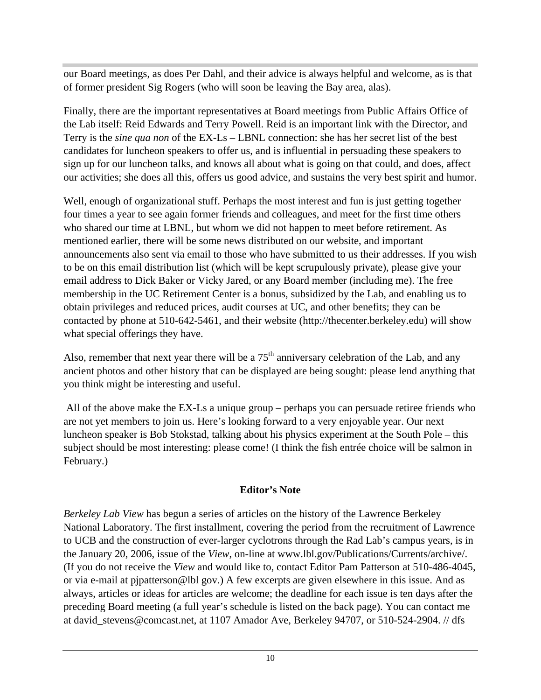our Board meetings, as does Per Dahl, and their advice is always helpful and welcome, as is that of former president Sig Rogers (who will soon be leaving the Bay area, alas).

Finally, there are the important representatives at Board meetings from Public Affairs Office of the Lab itself: Reid Edwards and Terry Powell. Reid is an important link with the Director, and Terry is the *sine qua non* of the EX-Ls – LBNL connection: she has her secret list of the best candidates for luncheon speakers to offer us, and is influential in persuading these speakers to sign up for our luncheon talks, and knows all about what is going on that could, and does, affect our activities; she does all this, offers us good advice, and sustains the very best spirit and humor.

Well, enough of organizational stuff. Perhaps the most interest and fun is just getting together four times a year to see again former friends and colleagues, and meet for the first time others who shared our time at LBNL, but whom we did not happen to meet before retirement. As mentioned earlier, there will be some news distributed on our website, and important announcements also sent via email to those who have submitted to us their addresses. If you wish to be on this email distribution list (which will be kept scrupulously private), please give your email address to Dick Baker or Vicky Jared, or any Board member (including me). The free membership in the UC Retirement Center is a bonus, subsidized by the Lab, and enabling us to obtain privileges and reduced prices, audit courses at UC, and other benefits; they can be contacted by phone at 510-642-5461, and their website (http://thecenter.berkeley.edu) will show what special offerings they have.

Also, remember that next year there will be a  $75<sup>th</sup>$  anniversary celebration of the Lab, and any ancient photos and other history that can be displayed are being sought: please lend anything that you think might be interesting and useful.

 All of the above make the EX-Ls a unique group – perhaps you can persuade retiree friends who are not yet members to join us. Here's looking forward to a very enjoyable year. Our next luncheon speaker is Bob Stokstad, talking about his physics experiment at the South Pole – this subject should be most interesting: please come! (I think the fish entrée choice will be salmon in February.)

# **Editor's Note**

*Berkeley Lab View* has begun a series of articles on the history of the Lawrence Berkeley National Laboratory. The first installment, covering the period from the recruitment of Lawrence to UCB and the construction of ever-larger cyclotrons through the Rad Lab's campus years, is in the January 20, 2006, issue of the *View*, on-line at www.lbl.gov/Publications/Currents/archive/. (If you do not receive the *View* and would like to, contact Editor Pam Patterson at 510-486-4045, or via e-mail at pjpatterson@lbl gov.) A few excerpts are given elsewhere in this issue. And as always, articles or ideas for articles are welcome; the deadline for each issue is ten days after the preceding Board meeting (a full year's schedule is listed on the back page). You can contact me at david\_stevens@comcast.net, at 1107 Amador Ave, Berkeley 94707, or 510-524-2904. // dfs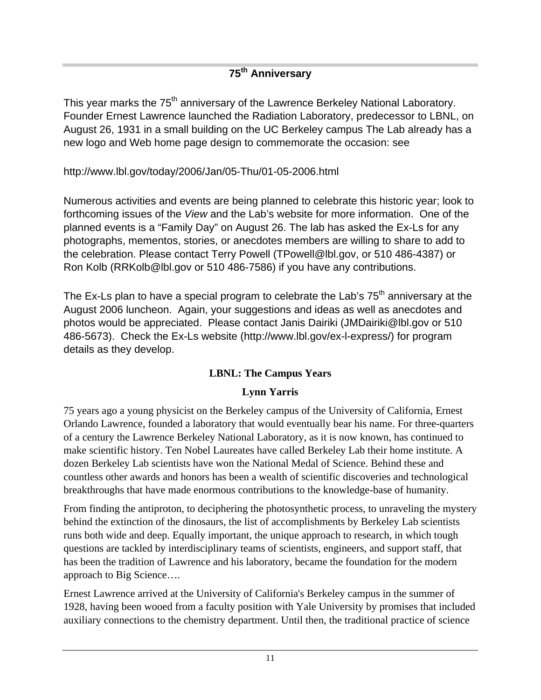# **75th Anniversary**

This year marks the 75<sup>th</sup> anniversary of the Lawrence Berkeley National Laboratory. Founder Ernest Lawrence launched the Radiation Laboratory, predecessor to LBNL, on August 26, 1931 in a small building on the UC Berkeley campus The Lab already has a new logo and Web home page design to commemorate the occasion: see

http://www.lbl.gov/today/2006/Jan/05-Thu/01-05-2006.html

Numerous activities and events are being planned to celebrate this historic year; look to forthcoming issues of the *View* and the Lab's website for more information. One of the planned events is a "Family Day" on August 26. The lab has asked the Ex-Ls for any photographs, mementos, stories, or anecdotes members are willing to share to add to the celebration. Please contact Terry Powell (TPowell@lbl.gov, or 510 486-4387) or Ron Kolb (RRKolb@lbl.gov or 510 486-7586) if you have any contributions.

The Ex-Ls plan to have a special program to celebrate the Lab's  $75<sup>th</sup>$  anniversary at the August 2006 luncheon. Again, your suggestions and ideas as well as anecdotes and photos would be appreciated. Please contact Janis Dairiki (JMDairiki@lbl.gov or 510 486-5673). Check the Ex-Ls website (http://www.lbl.gov/ex-l-express/) for program details as they develop.

# **LBNL: The Campus Years**

# **Lynn Yarris**

75 years ago a young physicist on the Berkeley campus of the University of California, Ernest Orlando Lawrence, founded a laboratory that would eventually bear his name. For three-quarters of a century the Lawrence Berkeley National Laboratory, as it is now known, has continued to make scientific history. Ten Nobel Laureates have called Berkeley Lab their home institute. A dozen Berkeley Lab scientists have won the National Medal of Science. Behind these and countless other awards and honors has been a wealth of scientific discoveries and technological breakthroughs that have made enormous contributions to the knowledge-base of humanity.

From finding the antiproton, to deciphering the photosynthetic process, to unraveling the mystery behind the extinction of the dinosaurs, the list of accomplishments by Berkeley Lab scientists runs both wide and deep. Equally important, the unique approach to research, in which tough questions are tackled by interdisciplinary teams of scientists, engineers, and support staff, that has been the tradition of Lawrence and his laboratory, became the foundation for the modern approach to Big Science….

Ernest Lawrence arrived at the University of California's Berkeley campus in the summer of 1928, having been wooed from a faculty position with Yale University by promises that included auxiliary connections to the chemistry department. Until then, the traditional practice of science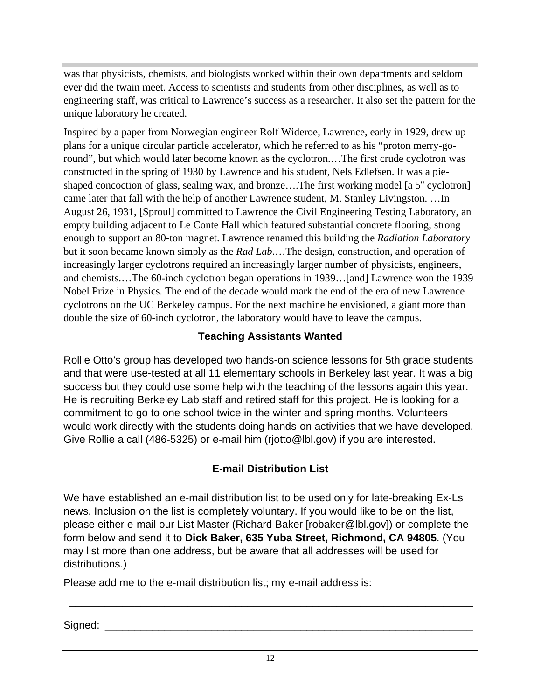was that physicists, chemists, and biologists worked within their own departments and seldom ever did the twain meet. Access to scientists and students from other disciplines, as well as to engineering staff, was critical to Lawrence's success as a researcher. It also set the pattern for the unique laboratory he created.

Inspired by a paper from Norwegian engineer Rolf Wideroe, Lawrence, early in 1929, drew up plans for a unique circular particle accelerator, which he referred to as his "proton merry-goround", but which would later become known as the cyclotron.…The first crude cyclotron was constructed in the spring of 1930 by Lawrence and his student, Nels Edlefsen. It was a pieshaped concoction of glass, sealing wax, and bronze....The first working model [a 5" cyclotron] came later that fall with the help of another Lawrence student, M. Stanley Livingston. …In August 26, 1931, [Sproul] committed to Lawrence the Civil Engineering Testing Laboratory, an empty building adjacent to Le Conte Hall which featured substantial concrete flooring, strong enough to support an 80-ton magnet. Lawrence renamed this building the *Radiation Laboratory* but it soon became known simply as the *Rad Lab*.…The design, construction, and operation of increasingly larger cyclotrons required an increasingly larger number of physicists, engineers, and chemists.…The 60-inch cyclotron began operations in 1939…[and] Lawrence won the 1939 Nobel Prize in Physics. The end of the decade would mark the end of the era of new Lawrence cyclotrons on the UC Berkeley campus. For the next machine he envisioned, a giant more than double the size of 60-inch cyclotron, the laboratory would have to leave the campus.

## **Teaching Assistants Wanted**

Rollie Otto's group has developed two hands-on science lessons for 5th grade students and that were use-tested at all 11 elementary schools in Berkeley last year. It was a big success but they could use some help with the teaching of the lessons again this year. He is recruiting Berkeley Lab staff and retired staff for this project. He is looking for a commitment to go to one school twice in the winter and spring months. Volunteers would work directly with the students doing hands-on activities that we have developed. Give Rollie a call (486-5325) or e-mail him (rjotto@lbl.gov) if you are interested.

# **E-mail Distribution List**

We have established an e-mail distribution list to be used only for late-breaking Ex-Ls news. Inclusion on the list is completely voluntary. If you would like to be on the list, please either e-mail our List Master (Richard Baker [robaker@lbl.gov]) or complete the form below and send it to **Dick Baker, 635 Yuba Street, Richmond, CA 94805**. (You may list more than one address, but be aware that all addresses will be used for distributions.)

Please add me to the e-mail distribution list; my e-mail address is:

Signed: \_\_\_\_\_\_\_\_\_\_\_\_\_\_\_\_\_\_\_\_\_\_\_\_\_\_\_\_\_\_\_\_\_\_\_\_\_\_\_\_\_\_\_\_\_\_\_\_\_\_\_\_\_\_\_\_\_\_\_\_\_\_

\_\_\_\_\_\_\_\_\_\_\_\_\_\_\_\_\_\_\_\_\_\_\_\_\_\_\_\_\_\_\_\_\_\_\_\_\_\_\_\_\_\_\_\_\_\_\_\_\_\_\_\_\_\_\_\_\_\_\_\_\_\_\_\_\_\_\_\_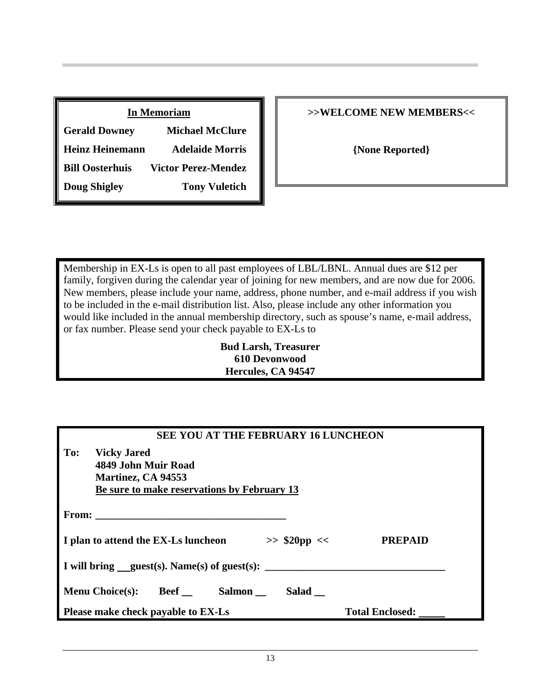| <b>In Memoriam</b>     |                            |  |
|------------------------|----------------------------|--|
| <b>Gerald Downey</b>   | <b>Michael McClure</b>     |  |
| <b>Heinz Heinemann</b> | <b>Adelaide Morris</b>     |  |
| <b>Bill Oosterhuis</b> | <b>Victor Perez-Mendez</b> |  |
| <b>Doug Shigley</b>    | <b>Tony Vuletich</b>       |  |

## **>>WELCOME NEW MEMBERS<<**

**{None Reported}**

Membership in EX-Ls is open to all past employees of LBL/LBNL. Annual dues are \$12 per family, forgiven during the calendar year of joining for new members, and are now due for 2006. New members, please include your name, address, phone number, and e-mail address if you wish to be included in the e-mail distribution list. Also, please include any other information you would like included in the annual membership directory, such as spouse's name, e-mail address, or fax number. Please send your check payable to EX-Ls to

> **Bud Larsh, Treasurer 610 Devonwood Hercules, CA 94547**

| <b>SEE YOU AT THE FEBRUARY 16 LUNCHEON</b>            |                        |  |  |
|-------------------------------------------------------|------------------------|--|--|
| To:<br><b>Vicky Jared</b>                             |                        |  |  |
| 4849 John Muir Road                                   |                        |  |  |
| Martinez, CA 94553                                    |                        |  |  |
| Be sure to make reservations by February 13           |                        |  |  |
|                                                       |                        |  |  |
| From: $\qquad \qquad$                                 |                        |  |  |
|                                                       |                        |  |  |
| I plan to attend the EX-Ls luncheon<br>$>>$ \$20pp << | <b>PREPAID</b>         |  |  |
|                                                       |                        |  |  |
| I will bring $quest(s)$ . Name(s) of guest(s):        |                        |  |  |
|                                                       |                        |  |  |
|                                                       |                        |  |  |
| Menu Choice(s): Beef Salmon<br>Salad                  |                        |  |  |
| Please make check payable to EX-Ls                    | <b>Total Enclosed:</b> |  |  |
|                                                       |                        |  |  |